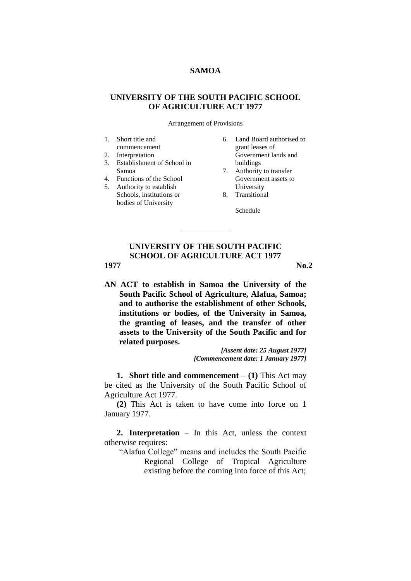### **SAMOA**

# **UNIVERSITY OF THE SOUTH PACIFIC SCHOOL OF AGRICULTURE ACT 1977**

Arrangement of Provisions

- 1. Short title and
- commencement
- 2. Interpretation
- 3. Establishment of School in Samoa
- 4. Functions of the School
- 5. Authority to establish Schools, institutions or bodies of University
- 6. Land Board authorised to grant leases of Government lands and buildings
- 7. Authority to transfer Government assets to University
- 8. Transitional
	- Schedule

# **UNIVERSITY OF THE SOUTH PACIFIC SCHOOL OF AGRICULTURE ACT 1977 1977 No.2**

**AN ACT to establish in Samoa the University of the South Pacific School of Agriculture, Alafua, Samoa; and to authorise the establishment of other Schools, institutions or bodies, of the University in Samoa, the granting of leases, and the transfer of other assets to the University of the South Pacific and for related purposes.**

> *[Assent date: 25 August 1977] [Commencement date: 1 January 1977]*

**1. Short title and commencement**  $-$  (1) This Act may be cited as the University of the South Pacific School of Agriculture Act 1977.

**(2)** This Act is taken to have come into force on 1 January 1977.

**2. Interpretation** – In this Act, unless the context otherwise requires:

"Alafua College" means and includes the South Pacific Regional College of Tropical Agriculture existing before the coming into force of this Act;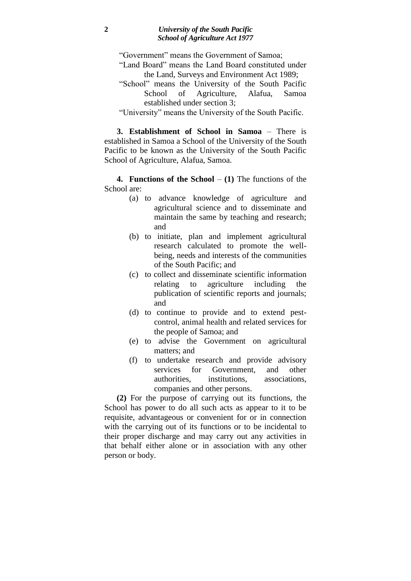"Government" means the Government of Samoa;

- "Land Board" means the Land Board constituted under the Land, Surveys and Environment Act 1989;
- "School" means the University of the South Pacific School of Agriculture, Alafua, Samoa established under section 3;

"University" means the University of the South Pacific.

**3. Establishment of School in Samoa** – There is established in Samoa a School of the University of the South Pacific to be known as the University of the South Pacific School of Agriculture, Alafua, Samoa.

**4. Functions of the School**  $- (1)$  The functions of the School are:

- (a) to advance knowledge of agriculture and agricultural science and to disseminate and maintain the same by teaching and research; and
- (b) to initiate, plan and implement agricultural research calculated to promote the wellbeing, needs and interests of the communities of the South Pacific; and
- (c) to collect and disseminate scientific information relating to agriculture including the publication of scientific reports and journals; and
- (d) to continue to provide and to extend pestcontrol, animal health and related services for the people of Samoa; and
- (e) to advise the Government on agricultural matters; and
- (f) to undertake research and provide advisory services for Government, and other authorities, institutions, associations, companies and other persons.

**(2)** For the purpose of carrying out its functions, the School has power to do all such acts as appear to it to be requisite, advantageous or convenient for or in connection with the carrying out of its functions or to be incidental to their proper discharge and may carry out any activities in that behalf either alone or in association with any other person or body.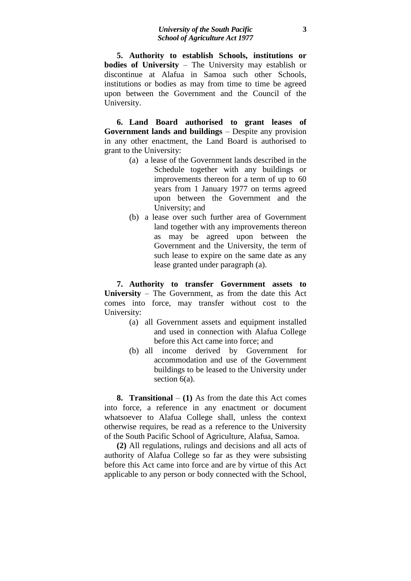**5. Authority to establish Schools, institutions or bodies of University** – The University may establish or discontinue at Alafua in Samoa such other Schools, institutions or bodies as may from time to time be agreed upon between the Government and the Council of the University.

**6. Land Board authorised to grant leases of Government lands and buildings** – Despite any provision in any other enactment, the Land Board is authorised to grant to the University:

- (a) a lease of the Government lands described in the Schedule together with any buildings or improvements thereon for a term of up to 60 years from 1 January 1977 on terms agreed upon between the Government and the University; and
- (b) a lease over such further area of Government land together with any improvements thereon as may be agreed upon between the Government and the University, the term of such lease to expire on the same date as any lease granted under paragraph (a).

**7. Authority to transfer Government assets to University** – The Government, as from the date this Act comes into force, may transfer without cost to the University:

- (a) all Government assets and equipment installed and used in connection with Alafua College before this Act came into force; and
- (b) all income derived by Government for accommodation and use of the Government buildings to be leased to the University under section  $6(a)$ .

**8. Transitional** – **(1)** As from the date this Act comes into force, a reference in any enactment or document whatsoever to Alafua College shall, unless the context otherwise requires, be read as a reference to the University of the South Pacific School of Agriculture, Alafua, Samoa.

**(2)** All regulations, rulings and decisions and all acts of authority of Alafua College so far as they were subsisting before this Act came into force and are by virtue of this Act applicable to any person or body connected with the School,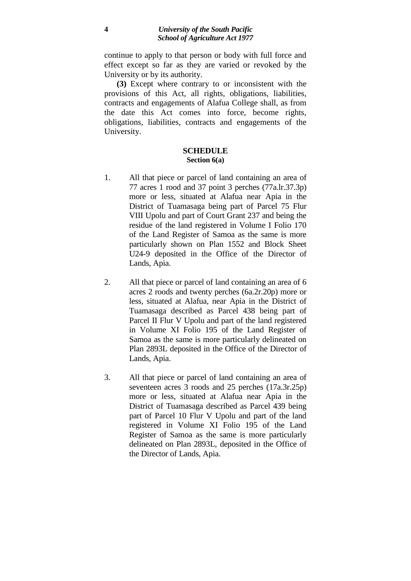continue to apply to that person or body with full force and effect except so far as they are varied or revoked by the University or by its authority.

**(3)** Except where contrary to or inconsistent with the provisions of this Act, all rights, obligations, liabilities, contracts and engagements of Alafua College shall, as from the date this Act comes into force, become rights, obligations, liabilities, contracts and engagements of the University.

## **SCHEDULE Section 6(a)**

- 1. All that piece or parcel of land containing an area of 77 acres 1 rood and 37 point 3 perches (77a.lr.37.3p) more or less, situated at Alafua near Apia in the District of Tuamasaga being part of Parcel 75 Flur VIII Upolu and part of Court Grant 237 and being the residue of the land registered in Volume I Folio 170 of the Land Register of Samoa as the same is more particularly shown on Plan 1552 and Block Sheet U24-9 deposited in the Office of the Director of Lands, Apia.
- 2. All that piece or parcel of land containing an area of 6 acres 2 roods and twenty perches (6a.2r.20p) more or less, situated at Alafua, near Apia in the District of Tuamasaga described as Parcel 438 being part of Parcel II Flur V Upolu and part of the land registered in Volume XI Folio 195 of the Land Register of Samoa as the same is more particularly delineated on Plan 2893L deposited in the Office of the Director of Lands, Apia.
- 3. All that piece or parcel of land containing an area of seventeen acres 3 roods and 25 perches (17a.3r.25p) more or less, situated at Alafua near Apia in the District of Tuamasaga described as Parcel 439 being part of Parcel 10 Flur V Upolu and part of the land registered in Volume XI Folio 195 of the Land Register of Samoa as the same is more particularly delineated on Plan 2893L, deposited in the Office of the Director of Lands, Apia.